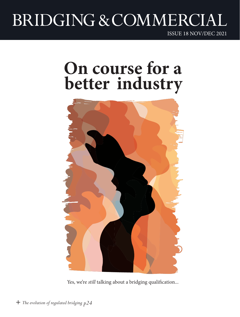# BRIDGING & COMMERCIA

ISSUE 18 NOV/DEC 2021

### **On course for a better industry**



Yes, we're *still* talking about a bridging qualification...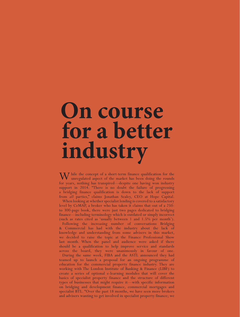## **On course** for a better **industry**

W hile the concept of a short-term finance qualification for the unregulated aspect of the market has been doing the rounds for years, nothing has transpired—despite one having won industry support in 2014. "There is no doubt the failure of progressing a bridging finance qualification is down to the lack of support from *all* parties," claims Jonathan Sealey, CEO at Hope Capital.

When looking at whether specialist lending is covered to a satisfactory level by CeMAP, a broker who has taken it claims that out of a 250 to 300-page book, there were just two pages dedicated to bridging finance—including terminology which is outdated or simply incorrect (such as rates cited as 'usually between 1 and 1.5% per month'). Following the increasing number of conversations Bridging & Commercial has had with the industry about the lack of knowledge and understanding from some advisers in this market, we decided to raise the topic at the Finance Professional Show last month. When the panel and audience were asked if there

across the board, they were unanimously in favour of one. During the same week, FIBA and the ASTL announced they had teamed up to launch a proposal for an ongoing programme of education for the commercial property finance industry. They are working with The London Institute of Banking & Finance (LIBF) to create a series of optional e-learning modules that will cover the basics of specialist property finance and the structure of different types of businesses that might require it—with specific information on bridging and development finance, commercial mortgages and specialist BTL. "Over the past 18 months, we have seen more brokers and advisers wanting to get involved in specialist property finance; we

should be a qualification to help improve service and standards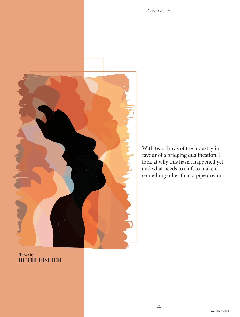

With two-thirds of the industry in favour of a bridging qualification, I look at why this hasn't happened yet, and what needs to shift to make it something other than a pipe dream

Cover Story -

### *Words by* **BETH FISHER**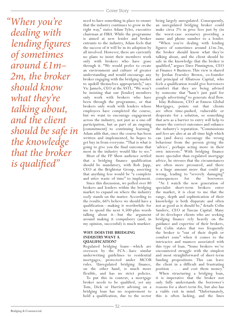*"When you're dealing with lending figures of sometimes around £1m– 2m, the broker should know what they're talking about, and the client should be safe in the knowledge that the broker is qualified"*

need to have something in place to ensure that the industry continues to grow in the right way," states Adam Tyler, executive chairman at FIBA. While the programme is aimed at new lender and broker entrants to the industry, Adam feels that the success of it will be in its adoption by all involved. However, there are currently no plans to insist their members work only with brokers who have gone through it. "We would prefer to create an environment and culture of greater understanding and would encourage any broker engaging with the bridging market to upskill themselves appropriately," says Vic Jannels, CEO at the ASTL. "We won't be insisting that our [lender] members only work with brokers who have been through the programme, or that brokers only work with lenders whose employees have completed the course, but we want to encourage engagement across the industry, not just as a one-off participation, but as part of an ongoing [commitment] to continuing learning." Adam adds that, once the course has been written and implemented, he hopes to get buy in from everyone. "That is what is going to give you the final outcome that most in the industry would like to see."

Most of the FP Show audience settled that a bridging finance qualification should be mandatory, with Rob Jupp, CEO at the Brightstar Group, asserting that anything less would be "a complete and utter waste of time" to implement.

Since this discussion, we polled over 80 brokers and lenders within the bridging market to expand on where the industry *really* stands on the matter. According to the results, 66% believe we should have a qualification—making it worthwhile for me to spend the next 4,500-plus words talking about it—but the argument around making it compulsory (and, in my opinion, successful) is much murkier.

#### **WHY DOES THE BRIDGING INDUSTRY WANT A QUALIFICATION?**

Regulated bridging loans—which are overseen by the FCA—have similar underwriting guidelines to residential mortgages, protected under MCOB rules. Unregulated bridging finance, on the other hand, is much more flexible, and has no strict policies.

To put this in context, a mortgage broker needs to be qualified, yet any Tom, Dick or Harriett advising on a bridging loan has no requirement to hold a qualification, due to the sector

being largely unregulated. Consequently, an unregulated bridging broker could make circa 2% in proc fees just by (in the worst-case scenario) providing a name and phone number to a lender.

"When you're dealing with lending figures of sometimes around £1m-2m, the broker should know what they're talking about, and the client should be safe in the knowledge that the broker is qualified," argues Dave Pinnington, CEO at Finance 4 Business. This view is shared by Jordan Fearnley Brown, co-founder and principal of Albatross Capital, who feels a qualification would give borrowers comfort that they are being advised by someone that "hasn't just paid for google advertising" to generate deal flow.

Islay Robinson, CEO at Enness Global Mortgages, points out that clients are often time-pushed, vulnerable or desperate for a solution, so something that acts as a barrier to entry will help to ensure the correct outcomes and enhance the industry's reputation. "Commissions and fees are also at an all-time high which can (and does) encourage the wrong behaviour from the person giving the 'advice', perhaps acting more in their own interests." With bridging finance more specialist than regulated mortgage advice, he stresses that the circumstances are often more pressured, and there is a huge amount more that could go wrong, leading to "severely damaging" consequences for the borrower.

"As I watch the new generation of specialist short-term brokers enter the market, it is clear to me that the range, depth and sophistication of their knowledge is both disparate and often not as good as it should be," details Colin Sanders, CEO at Tuscan Capital. Many of its developer clients who are seeking bridging finance rely heavily on the guidance and expertise of their brokers, but Colin states that too frequently the broker is "out of their depth or comfort zone" when it comes to the intricacies and nuances associated with this type of loan. "Some brokers we've encountered struggle with the simplest and most straightforward of short-term funding propositions. This can leave the client in a difficult and frustrating position . . . and cost them money." When structuring a bridging loan,

it is imperative that the broker not only fully understands the borrower's reasons for a short-term fix, but also has a viable exit in mind. "Unfortunately, this is often lacking, and the lines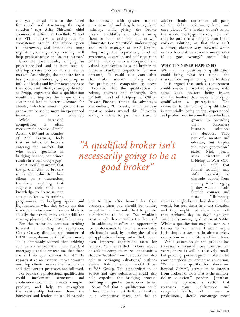can get blurred between the 'need for speed' and structuring the right solution," says Asim Shirwani, chief commercial officer at Lendhub. "I feel the STL industry is crying out for consistency around the advice given to borrowers, and introducing some regulation, or regulatory training, will help professionalise the sector further."

Over the past decade, bridging *has* professionalised and is now seen as offering a core product in the finance market. Accordingly, the appetite for it has grown considerably, prompting an influx of lender and broker newcomers to the space. Paul Elliott, managing director at Propp, expresses that a qualification would help improve the image of the sector and lead to better outcomes for clients, "which is more important than ever as we're seeing more inexperienced investors turn to bridging".

While increased competition is often considered a positive, Daniel Austin, CEO and co-founder of ASK Partners, feels that an influx of brokers entering the market, but who don't specialise in bridging finance, sometimes results in a "knowledge gap".

Most would maintain that the pivotal USP of brokers is to add value for their clients on a transaction; therefore, anything that augments their skills and knowledge to do so is seen as a plus. Yet, with training

programmes in bridging sparse and fragmented in what they cover, one that is adopted industry-wide is more likely to solidify the bar to entry and upskill the existing players in the most efficient way.

For the sector to continue striding forward in building its reputation, Chris Oatway director and founder of LDNfinance, deems certifications a must. "It is commonly viewed that bridging can be more technical than standard mortgages, and it amazes me that there are still no qualifications for it." He regards it as an essential move towards ensuring clients receive the best advice and that correct processes are followed.

For brokers, a professional qualification could implement structure and confidence around an already complex product, and help to strengthen the relationship between them, the borrower and lender. "It would provide the borrower with greater comfort in a crowded and largely unregulated industry, while giving the broker greater credibility and also allowing them to stand out from the crowd," illuminates Lee Merrifield, underwriting and credit manager at MSP Capital. Improving the reputation, level of awareness, education and self-regulation of the industry with a recognised and valued qualification is a no-brainer to increase standards (especially for new entrants). It could also consolidate the broker market, making room for professional companies to grow.

Provided that the qualification is robust, relevant and thorough, Sam O'Neill, head of bridging at Clifton Private Finance, thinks the advantages are endless. "I honestly can't see any negative points around this. If you're asking a client to put their trust in

*"A qualified broker isn't necessarily going to be a good broker"*

you to look after finance for their property, then you should be willing to put in the time and effort to get the qualification to do so. You wouldn't trust a cab driver without a licence!"

In addition, it offers an opportunity for professionals to form cross-industry relationships and, by upping the calibre of applications being submitted, could even improve conversion rates for lenders. "Higher-skilled brokers would be able to complete more opportunities that are 'feasible' from the outset and also help in packaging valuations," outlines Stephen Todd, chief commercial officer at VAS Group. The standardisation of advice and case submission could also help expedite the bridging process, resulting in quicker turnaround times. Some feel that a qualification could differentiate the most dedicated brokers in a competitive space, and that an

adviser should understand all parts of the debt market—regulated and unregulated. "If a broker doesn't know the whole mortgage market, how can they be sure that a bridging loan is the correct solution, or that there isn't a better, cheaper way forward which carries less risk or severe consequences if it goes wrong?" posits Islay.

#### **WHY IT'S NEVER HAPPENED**

With all the positives a qualification could bring, what has stopped the market from implementing one to date? It is argued that such a requirement could create a two-tier system, with some good brokers being frozen out by lenders that make a bridging qualification a prerequisite. "The downside to demanding a qualification is potentially losing strong, experienced and professional intermediaries who have

grown up providing their customers business solutions for decades. They not only mentor and educate, but inspire the next generation," states Nick Jones, sales director of bridging at West One. I am told that formal teaching may stifle creativity or dissuade people from moving into bridging if they want to avoid further courses and tests. "Ultimately,

someone might be the best driver in the world, but put them in a test situation and they might not show how well they perform day to day," highlights Jamie Jolly, managing director at SoMo. While a qualification may be seen as a barrier to new talent, I would argue it is simply a *bar*—as in almost every occupation in a multitude of industries.

While education of the product has increased substantially over the past few years, there is still a relatively small, but growing, percentage of brokers who consider specialist lending as an option. "Will a further qualification, above and beyond CeMAP, attract more interest from brokers or not? That is the milliondollar question," ponders Jonathan. In my opinion, a sector that increases your qualifications and recognised skills, and is seen as professional, should encourage more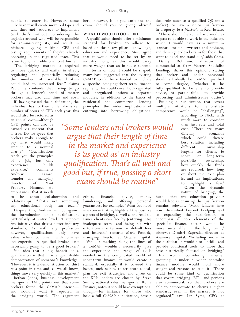people to enter it. However, some

 believe it will create more red tape and take time and resources to implement (and that's without considering the logistics around who will be responsible for administering it), and result in advisers juggling multiple CPS and testing requirements if they're already operating in the regulated space. This is on top of an additional cost burden. "The bridging market is required to move quickly and easily; in effect, regulating and potentially reducing the number of available brokers could lead to increased fees," claims Paul. He contends that having to go through a lender's panel of master brokers may also add time and cost.

If, having passed the qualification, the individual has to then undertake a set number of hours of CPD each year, this

would also be factored as an annual cost—although CPD points can also be earned via content that is free. Do we agree that brokers make enough to pay what would likely amount to a nominal charge? "Qualifications teach you the principles of a job, but only experience builds expertise," comments Andrew Lazare, founder and managing director of Mint Property Finance. He emphasises that it needs

to be about collaboration and relationships. "That's not something any educational body can teach." Despite this, Andrew is not against the introduction of a qualification, particularly at entry level. "I support any initiative that drives better industry standards. As with any profession however, qualifications only have value when combined with on-thejob expertise. A qualified broker isn't necessarily going to be a good broker."

Vic adds that a big benefit of a qualification is that it is a quantifiable demonstration of someone's knowledge. "However, it is a demonstration of [this] at a point in time and, as we all know, things move very quickly in this market."

Bethan Jones, business development manager at TAB, points out that some brokers found the CeMAP intense and wouldn't want it repeated in the bridging world. "The argument

here, however, is, if you can't pass the exam, should you be giving advice?"

#### **WHAT IT WOULD LOOK LIKE**

A qualification should offer a minimum standard for brokers to adhere to, based on three key pillars: knowledge, education and experience. Most agree that it would need to be set by an industry body, as this would carry more weight than an in-house scheme. In terms of how it could be shaped, many have suggested that the existing CeMAP could be extended to include a specific bridging/short-term finance segment. This could cover both regulated and unregulated options as separate modules, in addition to the basics of residential and commercial lending principles, the wider implications of entering into borrowing obligations,

*"Some lenders and brokers would argue that their length of time in the market and experience is 'as good as' an industry qualification. That's all well and good but, if true, passing a short exam should be routine"*

> ethics, financial advice, money laundering, and offering personal guarantees, for example. "What you need is a course that highlights all the positive aspects of bridging, as well as the realistic issues clients can face by [entering into] inadequate terms and being hit with extortionate extension or default fees and interest," remarks Mark Posniak, managing director at Octane Capital.

> While something along the lines of a CeMAP wouldn't necessarily give the experience and range of skills needed in the complicated world of short-term finance, it would create a standard, especially if it covered the basics, such as how to structure a deal, plan for exit strategies, and agree on the KPIs lenders are chosen by. Steve Smith, national sales manager at Roma Finance, notes it should have exemptions, though—for instance for those who hold a full CeMAP qualification, have a

dual role (such as a qualified QS and a broker), or have a senior qualification in property, ie a Master's in Real Estate.

"There should be some basic modules to pass to be able to work in the industry, which I would have as a minimum standard for underwriters and advisers, and then higher-level exams for those that want to excel and stand out," adds Chris. Danny Robinson, director of

commercial at Grey Matters Specialist Lending, shares this opinion, stating that broker and lender personnel should all ideally be CeMAP qualified to some degree, "whether it be fully qualified to be able to provide advice, or part-qualified to provide processing and administrative duties". Building a qualification that covers multiple situations to demonstrate competence would be "challenging",

according to Nick, with much more to consider than just rate and total cost. "There are many differing scenarios which could dictate best solution, including different ownership lengths for clients, ie short- or long-term portfolio ownership, how quickly the funds are required, how long or short the exit plan is, and tax implications, to highlight a few." Given the dynamic nature of bridging, the

hurdle that any education provider would face is ensuring the qualification remains relevant. "Most lenders have now diversified beyond bridging and so expanding the qualification to encompass all core elements of the specialist finance sector would be more sustainable in the long term," observes D'mitri Zaprzala, director at Avamore Capital. "Including more in the qualification would also 'upskill' and provide additional tools to those that have historically focused on bridging." It's worth considering whether grouping it under a wider specialist finance module would hold more weight and reasons to take it. "There could be some kind of qualification that covers bridging, BTL, and perhaps also commercial, so that brokers are able to demonstrate to clients a higher standard, even if the market is not regulated," says Liz Syms, CEO at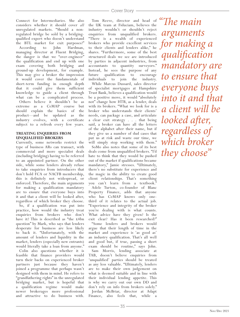Connect for Intermediaries. She also considers whether it should cover *all* unregulated markets. "Should a nonregulated bridge be sold by a bridgingqualified expert who doesn't understand

the BTL market for exit purposes?"<br>According to John Hardman, According to John managing director at Fluent Bridging, the danger is that we "over-engineer" the qualification and end up with one exam covering both bridging and ground-up development, for example. This may give a broker the impression it would cover the fundamentals of short-term funding in enough depth that it could give them sufficient knowledge to guide a client through what can be a complicated process.

Others believe it shouldn't be as extreme as a CeMAP course but should explain the basics of the product—and be updated as the industry evolves, with a certificate subject to a refresh every few years.

#### **TREATING ENQUIRIES FROM UNQUALIFIED BROKERS**

Currently, some networks restrict the type of business ARs can transact, with commercial and more specialist deals (including bridging) having to be referred to an appointed partner. On the other side, while some lenders already refuse to take enquiries from introducers that don't hold FCA or NACFB membership, this is definitely not widespread, or enforced. Therefore, the main arguments for making a qualification mandatory are to ensure that everyone buys into it and that a client will be looked after, regardless of which broker they choose.

So, if a qualification was put into practice, how would the industry treat enquiries from brokers who don't have it? This is described as "the £4bn question" by Mark, who says that lenders desperate for business are less likely to back it. "Unfortunately, with the amount of lenders and liquidity in the market, lenders (especially new entrants) would literally take a loan from anyone."

Colin also questions whether it is feasible that finance providers would turn their backs on experienced broker partners just because they haven't joined a programme that perhaps wasn't designed with them in mind. He refers to "grandfathering rights" in the unregulated bridging market, but is hopeful that a qualification regime would make newer brokerages more professional and attractive to do business with.

Tom Reeve, director and head of  $^{\alpha}$  *The main* the UK team at Fiduciam, believes the industry wouldn't or shouldn't reject enquiries from unqualified brokers. "There is a wealth of experienced brokers who provide excellent services to their clients and lenders alike," he shares. "Furthermore, some of the best structured deals we see are introduced by parties in adjacent industries, from accountants to quantity surveyors." Instead, he sees the purpose of any future qualification to encourage individuals to join the industry.

While Marcus Dussard, sales director of specialist mortgages at Hampshire Trust Bank, believes a qualification would be a positive move, it would "absolutely not" change how HTB, as a lender, deals with its brokers. "What we look for is a broker who understands their clients' needs, can package a case, and articulate a clear exit strategy . . . that being said, a broker can have all the letters of the alphabet after their name, but if they give us a number of dud cases that put us at risk and waste our time, we will simply stop working with them."

SoMo also notes that some of its best deals come from unqualified brokers. "I'd hate to think that they would be pushed out of the market if qualifications became mandatory," Jamie stresses. "Ultimately, there's no substitute for experience and the magic in the ability to create good client relationships. That's something you can't learn from a textbook." Adele Turton, co-founder of Blanc Property Finance, adds that anyone who has CeMAP knows only onethird of it relates to the actual job. "Experience and integrity of the broker you're dealing with is what counts. What advice have they given? Is the exit clear? Has it been researched?"

"Some lenders and brokers would argue that their length of time in the market and experience is 'as good as' an industry qualification. That's all well and good but, if true, passing a short exam should be routine," says John. Sam Morris, lending associate at TAB, doesn't believe enquiries from 'unqualified' parties should be treated as any less valuable. "Ultimately, lenders are to make their own judgement on what is deemed suitable and in line with their individual lending appetite. This is why we carry out our own DD and don't rely on info from brokers solely."

Jordan McBriar, director at Adapt Finance, also feels that, while a

*arguments for making a qualification mandatory are to ensure that everyone buys into it and that a client will be looked after, regardless of which broker they choose"*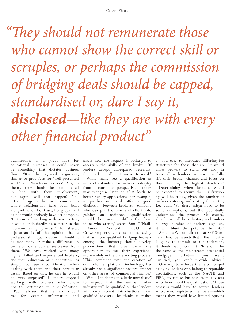*"They should not remunerate those who cannot show the correct skill or scruples, or perhaps the commission of bridging deals should be capped, standardised or, dare I say it, disclosed—like they are with every other financial product"*

qualification is a great idea for educational purposes, it could never be something that dictates business flow. "It's the age-old argument, similar to proc fees for 'well-presented work' and 'hands-on brokers'. Yes, in theory they should be compensated<br>in line with their involvement, in line with their but again, will that happen? No." Daniel agrees that in circumstances where relationships have been built alongside a level of trust, being qualified or not would probably have little impact. "In terms of working with new parties, it would undoubtedly be a factor in the decision-making process," he shares.

Jonathan is of the opinion that a professional qualification shouldn't be mandatory or make a difference in terms of how enquiries are treated from them. "We have worked with many highly skilled and experienced brokers, and their education or qualification has simply not been a consideration when dealing with them and their particular cases." Based on this, he says he would be "very surprised" if lenders stopped working with brokers who chose not to participate in a qualification. Paul advises that lenders should ask for certain information and

assess how the request is packaged to ascertain the skills of the broker. "If lenders accept unprepared referrals, the market will not move forward."

While many see a qualification as more of a standard for brokers to display from a consumer perspective, lenders may recognise later on if it leads to better quality applications. For example, a qualification could offer a good distinction between brokers. "Someone who can put the time and effort into gaining an additional qualification should be viewed differently from those who aren't," states Sam O'Neill.

Damon Walford, CCO at CrowdProperty, goes as far as saying that as more qualified bridging brokers emerge, the industry should develop propositions that give them the opportunity to use their experience more widely in the underwriting process. "This, combined with the creation of omni-channel platform technology, has already had a significant positive impact on other areas of commercial finance."

While Lee deems it "a little unrealistic" to expect that the entire broker industry will be qualified or that lenders will only accept introductions from qualified advisers, he thinks it makes

a good case to introduce differing fee structures for those that are. "It would allow brokers to stand out and, in turn, allow lenders to more carefully sift their broker channel and focus on those meeting the highest standards."

Determining when brokers would be expected to secure the qualification by will be tricky, given the number of brokers entering and exiting the sector, Lee adds. "So there might need to be some exemptions, but this potentially undermines the process. Of course, all of this will be voluntary and, unless a large number of brokers sign up, it will blunt the potential benefits." Amadeus Wilson, director at SPF Short Term Finance, asserts that if the industry is going to commit to a qualification, it should *really* commit. "It should be the same as the mainstream residential mortgage market—if you aren't qualified, you can't provide advice." One way to enforce this is to compel bridging lenders who belong to reputable associations, such as the NACFB and FIBA, to refuse business from advisers who do not hold the qualification. "Those advisers would have to source lenders who are not registered members—which means they would have limited options